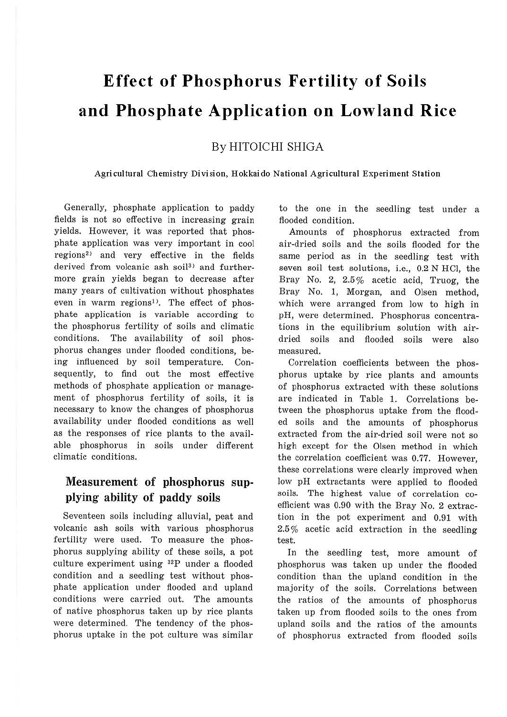# **Effect of Phosphorus Fertility of Soils and Phosphate Application on Lowland Rice**

By HITOICHI SHIGA

Agricultural Chemistry Division, Hokkaido National Agricultural Experiment Station

Generally, phosphate application to paddy fields is not so effective in increasing grain yields. However, it was reported that phosphate application was very important in cool regions2> and very effective in the fields derived from volcanic ash soil<sup>3)</sup> and furthermore grain yields began to decrease after many years of cultivation without phosphates even in warm regions<sup>1)</sup>. The effect of phosphate application is variable according to the phosphorus fertility of soils and climatic conditions. The availability of soil phosphorus changes under flooded conditions, being influenced by soil temperature. Consequently, to find out the most effective methods of phosphate application or management of phosphorus fertility of soils, it is necessary to know the changes of phosphorus availability under flooded conditions as well as the responses of rice plants to the available phosphorus in soils under different climatic conditions.

### Measurement of phosphorus supplying ability of paddy soils

Seventeen soils including alluvial, peat and volcanic ash soils with various phosphorus fertility were used. To measure the phosphorus supplying ability of these soils, a pot culture experiment using 32P under a flooded condition and a seedling test without phosphate application under flooded and upland conditions were carried out. The amounts of native phosphorus taken up by rice plants were determined. The tendency of the phosphorus uptake in the pot culture was similar to the one in the seedling test under a flooded condition.

Amounts of phosphorus extracted from air-dried soils and the soils flooded for the same period as in the seedling test with seven soil test solutions, i.e., 0.2 N HCl, the Bray No. 2, 2.5% acetic acid, Truog, the Bray No. 1, Morgan, and Olsen method, which were arranged from low to high in pH, were determined. Phosphorus concentrations in the equilibrium solution with airdried soils and flooded soils were also measured.

Correlation coefficients between the phosphorus uptake by rice plants and amounts of phosphorus extracted with these solutions are indicated in Table 1. Correlations between the phosphorus uptake from the flooded soils and the amounts of phosphorus extracted from the air-dried soil were not so high except for the Olsen method in which the correlation coefficient was 0.77. However, these correlations were clearly improved when low pH extractants were applied to flooded soils. The highest value of correlation coefficient was 0.90 with the Bray No. 2 extraction in the pot experiment and 0.91 with 2.5 % acetic acid extraction in the seedling test.

In the seedling test, more amount of phosphorus was taken up under the flooded condition than the upland condition in the majority of the soils. Correlations between the ratios of the amounts of phosphorus taken up from flooded soils to the ones from upland soils and the ratios of the amounts of phosphorus extracted from flooded soils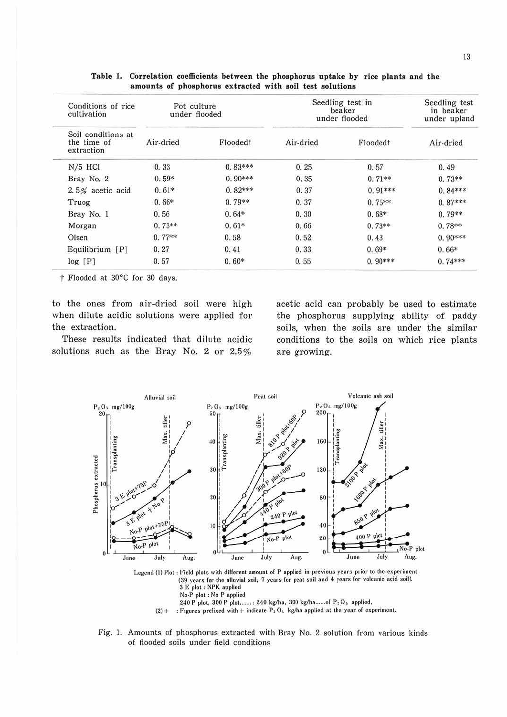| Conditions of rice<br>cultivation<br>Soil conditions at<br>the time of<br>extraction | Pot culture<br>under flooded |           | Seedling test in<br>beaker<br>under flooded |           | Seedling test<br>in beaker<br>under upland |
|--------------------------------------------------------------------------------------|------------------------------|-----------|---------------------------------------------|-----------|--------------------------------------------|
|                                                                                      | Air-dried                    | Floodedt  | Air-dried                                   | Floodedt  | Air-dried                                  |
| $N/5$ HCl                                                                            | 0.33                         | $0.83***$ | 0.25                                        | 0.57      | 0.49                                       |
| Bray No. 2                                                                           | $0.59*$                      | $0.90***$ | 0.35                                        | $0.71**$  | $0.73**$                                   |
| 2.5% acetic acid                                                                     | $0.61*$                      | $0.82***$ | 0.37                                        | $0.91***$ | $0.84***$                                  |
| Truog                                                                                | $0.66*$                      | $0.79**$  | 0.37                                        | $0.75**$  | $0.87***$                                  |
| Bray No. 1                                                                           | 0.56                         | $0.64*$   | 0.30                                        | $0.68*$   | $0.79**$                                   |
| Morgan                                                                               | $0.73**$                     | $0.61*$   | 0.66                                        | $0.73**$  | $0.78**$                                   |
| Olsen                                                                                | $0.77**$                     | 0.58      | 0.52                                        | 0.43      | $0.90***$                                  |
| $Equilibrium$ [P]                                                                    | 0.27                         | 0.41      | 0.33                                        | $0.69*$   | $0.66*$                                    |
| log[P]                                                                               | 0.57                         | $0.60*$   | 0.55                                        | $0.90***$ | $0.74***$                                  |

Table 1. Correlation coefficients between the phosphorus uptake by rice plants and the amounts of phosphorus extracted with soil test solutions

† Flooded at 30°C for 30 days.

to the ones from air-dried soil were high when dilute acidic solutions were applied for the extraction.

These results indicated that dilute acidic solutions such as the Bray No. 2 or 2.5%

acetic acid can probably be used to estimate the phosphorus supplying ability of paddy soils, when the soils are under the similar conditions to the soils on which rice plants are growing.



Legend (1) Plot : Field plots with different amount of P applied in previous years prior to the experiment (39 years for the alluvial soil, 7 years for peat soil and 4 years for volcanic acid soil). 3 E plot : NPK applied No-P plot : No P applied 240 P plot, 300 P plot, ...... : 240 kg/ha, 300 kg/ha......of P 2 O 5 applied,

 $(2)$  + : Figures prefixed with + indicate  $P_2O_3$  kg/ha applied at the year of experiment.

Fig. 1. Amounts of phosphorus extracted with Bray No. 2 solution from various kinds of flooded soils under field conditions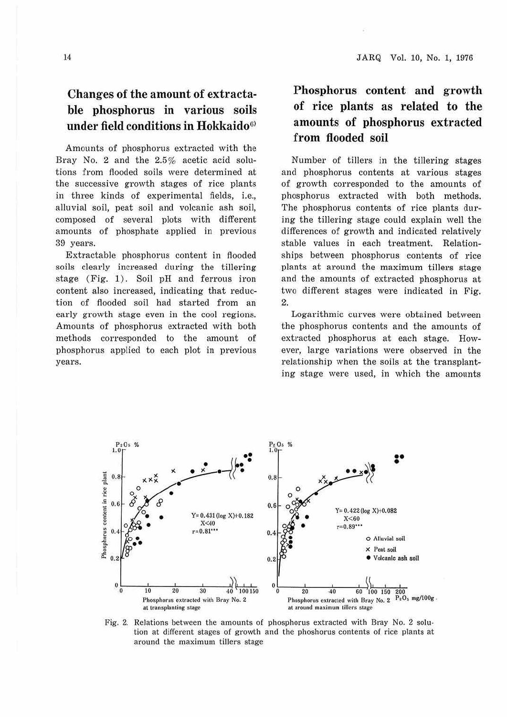# **Changes of the amount of extractable phosphorus in various soils under field conditions in Hokkaido6>**

Amounts of phosphorus extracted with the Bray No. 2 and the 2.5% acetic acid solutions from flooded soils were determined at the successive growth stages of rice plants in three kinds of experimental fields, i.e., alluvial soil, peat soil and volcanic ash soil, composed of several plots with different amounts of phosphate applied in previous 39 years.

Extractable phosphorus content in flooded soils clearly increased during the tillering stage (Fig. 1). Soil pH and ferrous iron content also increased, indicating that reduction of flooded soil had started from an early growth stage even in the cool regions. Amounts of phosphorus extracted with both methods corresponded to the amount of phosphorus applied to each plot in previous years.

# **Phosphorus content and growth of rice plants as related to the amounts of phosphorus extracted from flooded soil**

Number of tillers in the tillering stages and phosphorus contents at various stages of growth corresponded to the amounts of phosphorus extracted with both methods. The phosphorus contents of rice plants during the tillering stage could explain well the differences of growth and indicated relatively stable values in each treatment. Relationships between phosphorus contents of rice plants at around the maximum tillers stage and the amounts of extracted phosphorus at two different stages were indicated in Fig. 2.

Logarithmic curves were obtained between the phosphorus contents and the amounts of extracted phosphorus at each stage. However, large variations were observed in the relationship when the soils at the transplanting stage were used, in which the amounts



Fig. 2. Relations between the amounts of phosphorus extracted with Bray No. 2 solu· tion at different stages of growth and the phoshorus contents of rice plants at around the maximum tillers stage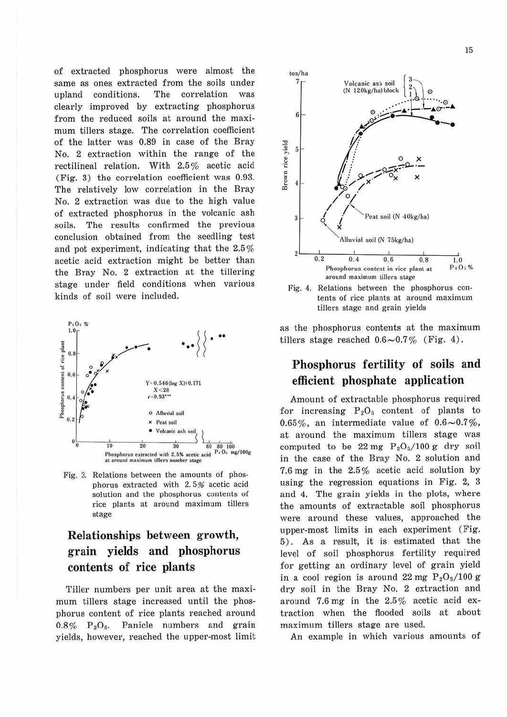of extracted phosphorus were almost the same as ones extracted from the soils under upland conditions. The correlation was clearly improved by extracting phosphorus from the reduced soils at around the maximum tillers stage. The correlation coefficient of the latter was 0.89 in case of the Bray No. 2 extraction within the range of the rectilineal relation. With 2.5% acetic acid (Fig. 3) the correlation coefficient was 0.93. The relatively low correlation in the Bray No. 2 extraction was due to the high value of extracted phosphorus in the volcanic ash soils. The results confirmed the previous conclusion obtained from the seedling test and pot experiment, indicating that the 2.5 % acetic acid extraction might be better than the Bray No. 2 extraction at the tillering stage under field conditions when various kinds of soil were included.



Fig. 3. Relations between the amounts of phosphorus extracted with 2. 5% acetic acid solution and the phosphorus contents of rice plants at around maximum tillers stage

# **Relationships between growth, grain yields and phosphorus contents of rice plants**

Tiller numbers per unit area at the maximum tillers stage increased until the phosphorus content of rice plants reached around  $0.8\%$  P<sub>2</sub>O<sub>5</sub>. Panicle numbers and grain yields, however, reached the upper-most limit



Fig. 4. Relations between the phosphorus contents of rice plants at around maximum tillers stage and grain yields

as the phosphorus contents at the maximum tillers stage reached  $0.6{\sim}0.7\%$  (Fig. 4).

#### **Phosphorus fertility of soils and efficient phosphate application**

Amount of extractable phosphorus required for increasing  $P_2O_5$  content of plants to 0.65%, an intermediate value of  $0.6{\sim}0.7\%$ , at around the maximum tillers stage was computed to be  $22 \text{ mg } \text{P}_2\text{O}_5/100 \text{ g }$  dry soil in the case of the Bray No. 2 solution and 7.6 mg in the 2.5% acetic acid solution by using the regression equations in Fig.  $2, 3$ and 4. The grain yields in the plots, where the amounts of extractable soil phosphorus were around these values, approached the upper-most limits in each experiment (Fig. 5) . As a result, it is estimated that the level of soil phosphorus fertility required for getting an ordinary level of grain yield in a cool region is around 22 mg  $P_2O_5/100$  g dry soil in the Bray No. 2 extraction and around 7.6 mg in the 2.5% acetic acid extraction when the flooded soils at about maximum tillers stage are used.

An example in which various amounts of